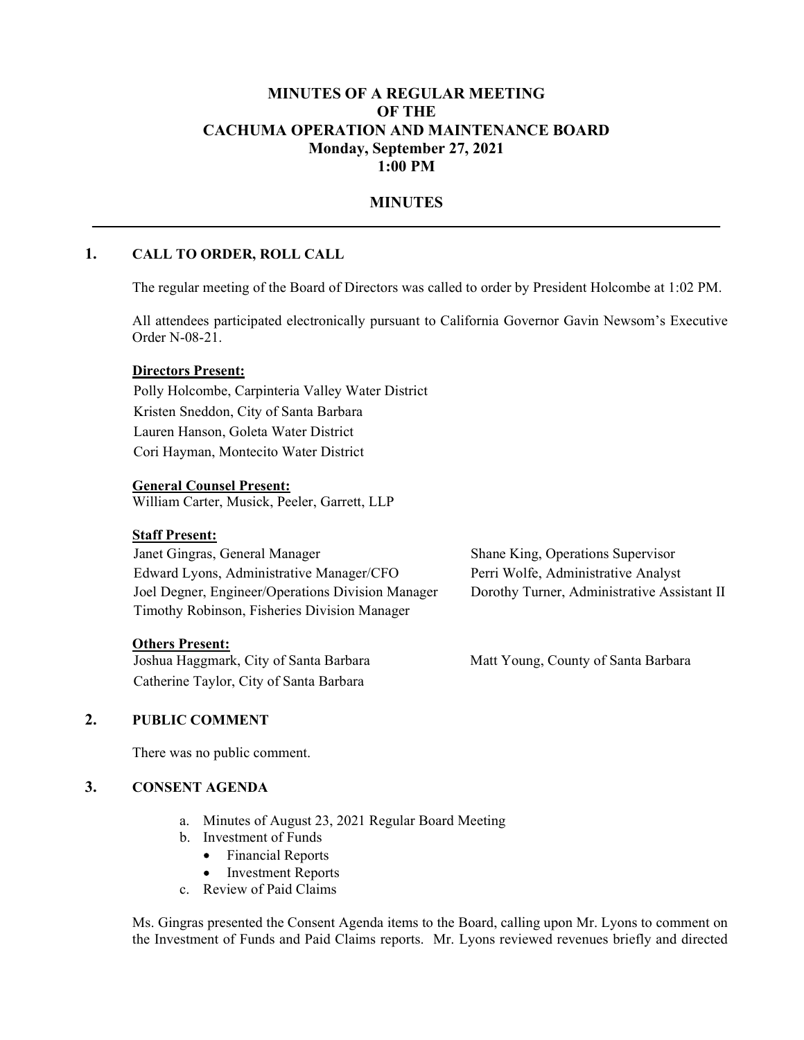## MINUTES OF A REGULAR MEETING OF THE CACHUMA OPERATION AND MAINTENANCE BOARD Monday, September 27, 2021 1:00 PM

# MINUTES<br>1. CALL TO ORDER, ROLL CALL CALL

The regular meeting of the Board of Directors was called to order by President Holcombe at 1:02 PM.

All attendees participated electronically pursuant to California Governor Gavin Newsom's Executive Order N-08-21.

#### Directors Present:

Polly Holcombe, Carpinteria Valley Water District Kristen Sneddon, City of Santa Barbara Lauren Hanson, Goleta Water District Cori Hayman, Montecito Water District

#### General Counsel Present:

William Carter, Musick, Peeler, Garrett, LLP

#### Staff Present:

| Janet Gingras, General Manager                    | Shane King, Operations Supervisor           |
|---------------------------------------------------|---------------------------------------------|
| Edward Lyons, Administrative Manager/CFO          | Perri Wolfe, Administrative Analyst         |
| Joel Degner, Engineer/Operations Division Manager | Dorothy Turner, Administrative Assistant II |
| Timothy Robinson, Fisheries Division Manager      |                                             |
|                                                   |                                             |

#### Others Present:

Joshua Haggmark, City of Santa Barbara Matt Young, County of Santa Barbara Catherine Taylor, City of Santa Barbara

## 2. PUBLIC COMMENT

There was no public comment.

#### 3. CONSENT AGENDA

- a. Minutes of August 23, 2021 Regular Board Meeting
- b. Investment of Funds
	- Financial Reports  $\bullet$
	- $\bullet$ Investment Reports
- c. Review of Paid Claims

Ms. Gingras presented the Consent Agenda items to the Board, calling upon Mr. Lyons to comment on the Investment of Funds and Paid Claims reports. Mr. Lyons reviewed revenues briefly and directed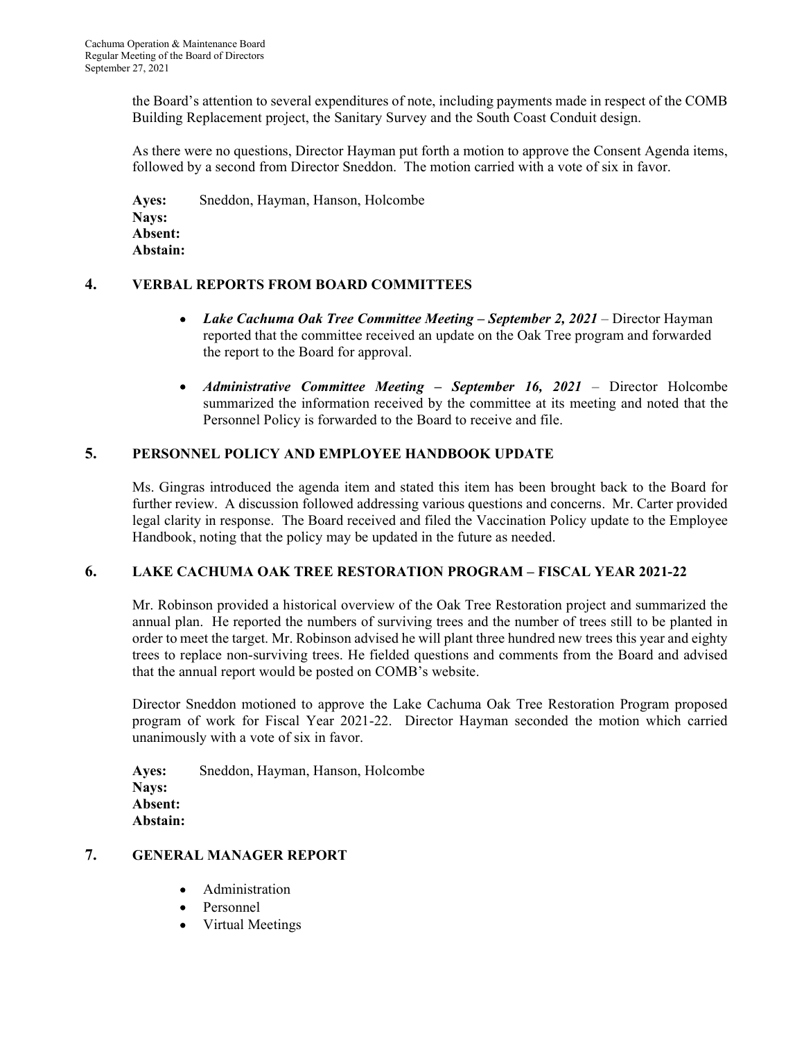the Board's attention to several expenditures of note, including payments made in respect of the COMB Building Replacement project, the Sanitary Survey and the South Coast Conduit design.

As there were no questions, Director Hayman put forth a motion to approve the Consent Agenda items, followed by a second from Director Sneddon. The motion carried with a vote of six in favor.

Ayes: Sneddon, Hayman, Hanson, Holcombe Nays: Absent: Abstain:

#### 4. VERBAL REPORTS FROM BOARD COMMITTEES

- Lake Cachuma Oak Tree Committee Meeting September 2, 2021 Director Hayman  $\bullet$ reported that the committee received an update on the Oak Tree program and forwarded the report to the Board for approval.
- Administrative Committee Meeting September 16, 2021 Director Holcombe  $\bullet$ summarized the information received by the committee at its meeting and noted that the Personnel Policy is forwarded to the Board to receive and file.

#### 5. PERSONNEL POLICY AND EMPLOYEE HANDBOOK UPDATE

Ms. Gingras introduced the agenda item and stated this item has been brought back to the Board for further review. A discussion followed addressing various questions and concerns. Mr. Carter provided legal clarity in response. The Board received and filed the Vaccination Policy update to the Employee Handbook, noting that the policy may be updated in the future as needed.

#### 6. LAKE CACHUMA OAK TREE RESTORATION PROGRAM FISCAL YEAR 2021-22

Mr. Robinson provided a historical overview of the Oak Tree Restoration project and summarized the annual plan. He reported the numbers of surviving trees and the number of trees still to be planted in order to meet the target. Mr. Robinson advised he will plant three hundred new trees this year and eighty trees to replace non-surviving trees. He fielded questions and comments from the Board and advised that the annual report would be posted on COMB's website.

Director Sneddon motioned to approve the Lake Cachuma Oak Tree Restoration Program proposed program of work for Fiscal Year 2021-22. Director Hayman seconded the motion which carried unanimously with a vote of six in favor.

Ayes: Sneddon, Hayman, Hanson, Holcombe Nays: Absent: Abstain:

#### 7. GENERAL MANAGER REPORT

- Administration  $\bullet$
- Personnel  $\bullet$
- Virtual Meetings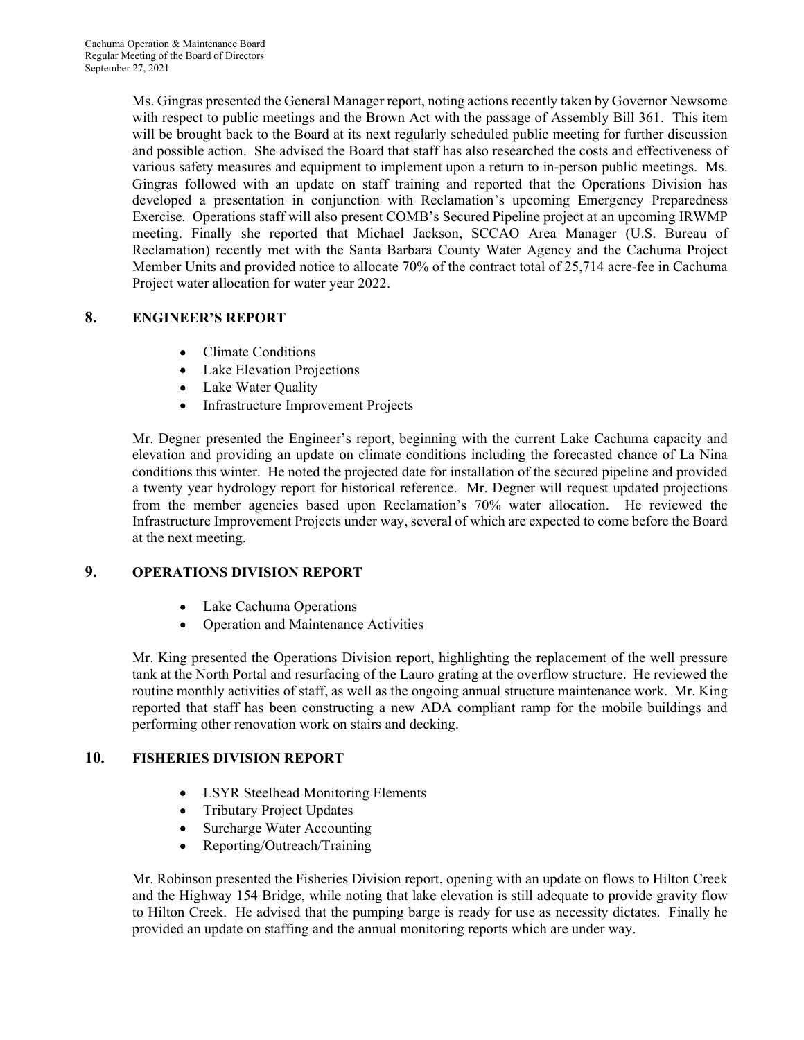Ms. Gingras presented the General Manager report, noting actions recently taken by Governor Newsome with respect to public meetings and the Brown Act with the passage of Assembly Bill 361. This item will be brought back to the Board at its next regularly scheduled public meeting for further discussion and possible action. She advised the Board that staff has also researched the costs and effectiveness of various safety measures and equipment to implement upon a return to in-person public meetings. Ms. Gingras followed with an update on staff training and reported that the Operations Division has developed a presentation in conjunction with Reclamation's upcoming Emergency Preparedness Exercise. Operations staff will also present COMB's Secured Pipeline project at an upcoming IRWMP meeting. Finally she reported that Michael Jackson, SCCAO Area Manager (U.S. Bureau of Reclamation) recently met with the Santa Barbara County Water Agency and the Cachuma Project Member Units and provided notice to allocate 70% of the contract total of 25,714 acre-fee in Cachuma Project water allocation for water year 2022.

# 8. ENGINEER'S REPORT

- Climate Conditions
- Lake Elevation Projections
- Lake Water Quality
- Infrastructure Improvement Projects

Mr. Degner presented the Engineer's report, beginning with the current Lake Cachuma capacity and elevation and providing an update on climate conditions including the forecasted chance of La Nina conditions this winter. He noted the projected date for installation of the secured pipeline and provided a twenty year hydrology report for historical reference. Mr. Degner will request updated projections from the member agencies based upon Reclamation's 70% water allocation. He reviewed the Infrastructure Improvement Projects under way, several of which are expected to come before the Board at the next meeting.

#### 9. OPERATIONS DIVISION REPORT

- Lake Cachuma Operations
- Operation and Maintenance Activities

Mr. King presented the Operations Division report, highlighting the replacement of the well pressure tank at the North Portal and resurfacing of the Lauro grating at the overflow structure. He reviewed the routine monthly activities of staff, as well as the ongoing annual structure maintenance work. Mr. King reported that staff has been constructing a new ADA compliant ramp for the mobile buildings and performing other renovation work on stairs and decking.

#### 10. FISHERIES DIVISION REPORT

- LSYR Steelhead Monitoring Elements
- Tributary Project Updates
- Surcharge Water Accounting
- Reporting/Outreach/Training

Mr. Robinson presented the Fisheries Division report, opening with an update on flows to Hilton Creek and the Highway 154 Bridge, while noting that lake elevation is still adequate to provide gravity flow to Hilton Creek. He advised that the pumping barge is ready for use as necessity dictates. Finally he provided an update on staffing and the annual monitoring reports which are under way.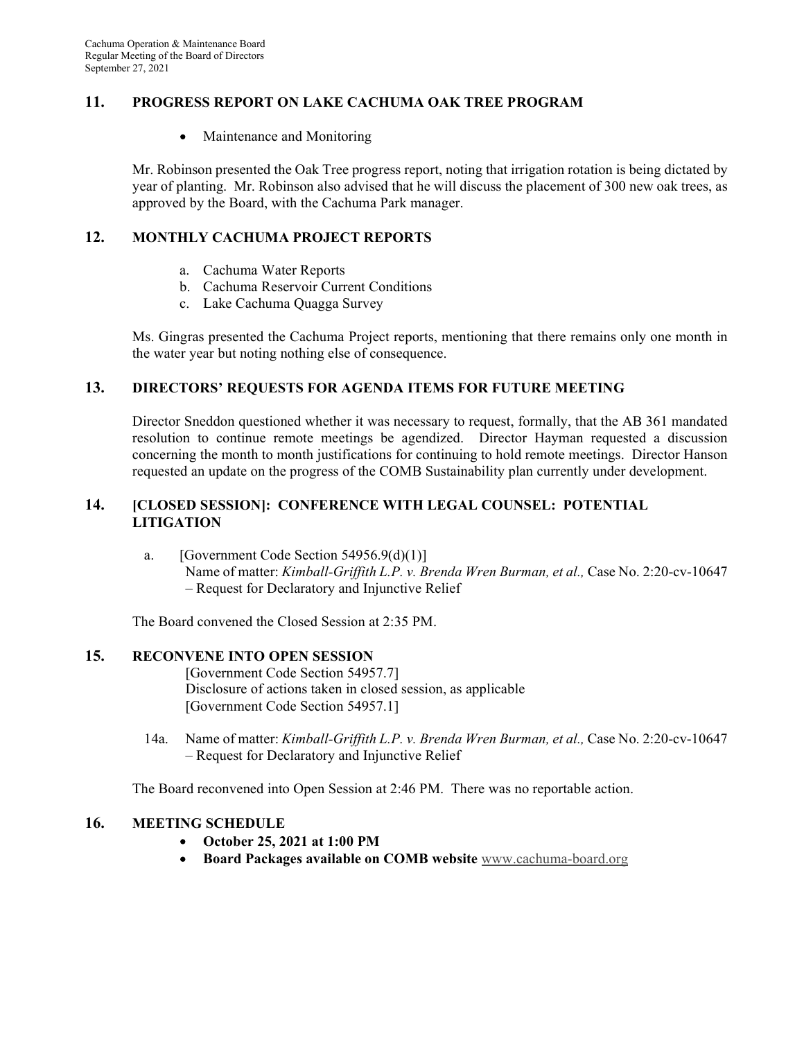#### 11. PROGRESS REPORT ON LAKE CACHUMA OAK TREE PROGRAM

 $\bullet$ Maintenance and Monitoring

Mr. Robinson presented the Oak Tree progress report, noting that irrigation rotation is being dictated by year of planting. Mr. Robinson also advised that he will discuss the placement of 300 new oak trees, as approved by the Board, with the Cachuma Park manager.

#### 12. MONTHLY CACHUMA PROJECT REPORTS

- a. Cachuma Water Reports
- b. Cachuma Reservoir Current Conditions
- c. Lake Cachuma Quagga Survey

Ms. Gingras presented the Cachuma Project reports, mentioning that there remains only one month in the water year but noting nothing else of consequence.

#### 13. DIRECTORS REQUESTS FOR AGENDA ITEMS FOR FUTURE MEETING

Director Sneddon questioned whether it was necessary to request, formally, that the AB 361 mandated resolution to continue remote meetings be agendized. Director Hayman requested a discussion concerning the month to month justifications for continuing to hold remote meetings. Director Hanson requested an update on the progress of the COMB Sustainability plan currently under development.

#### 14. [CLOSED SESSION]: CONFERENCE WITH LEGAL COUNSEL: POTENTIAL LITIGATION

a. [Government Code Section  $54956.9(d)(1)$ ] Name of matter: Kimball-Griffith L.P. v. Brenda Wren Burman, et al., Case No. 2:20-cv-10647 – Request for Declaratory and Injunctive Relief

The Board convened the Closed Session at 2:35 PM.

#### 15. RECONVENE INTO OPEN SESSION

[Government Code Section 54957.7] Disclosure of actions taken in closed session, as applicable [Government Code Section 54957.1]

14a. Name of matter: Kimball-Griffith L.P. v. Brenda Wren Burman, et al., Case No. 2:20-cv-10647 – Request for Declaratory and Injunctive Relief

The Board reconvened into Open Session at 2:46 PM. There was no reportable action.

#### 16. MEETING SCHEDULE

- October 25, 2021 at 1:00 PM  $\bullet$
- Board Packages available on COMB website www.cachuma-board.org